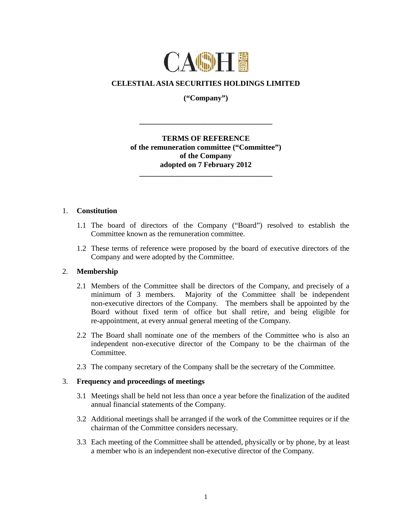

# **CELESTIAL ASIA SECURITIES HOLDINGS LIMITED**

**("Company")** 

**\_\_\_\_\_\_\_\_\_\_\_\_\_\_\_\_\_\_\_\_\_\_\_\_\_\_\_\_\_\_\_\_\_\_\_** 

## **TERMS OF REFERENCE of the remuneration committee ("Committee") of the Company adopted on 7 February 2012**

**\_\_\_\_\_\_\_\_\_\_\_\_\_\_\_\_\_\_\_\_\_\_\_\_\_\_\_\_\_\_\_\_\_\_\_** 

#### 1. **Constitution**

- 1.1 The board of directors of the Company ("Board") resolved to establish the Committee known as the remuneration committee.
- 1.2 These terms of reference were proposed by the board of executive directors of the Company and were adopted by the Committee.

### 2. **Membership**

- 2.1 Members of the Committee shall be directors of the Company, and precisely of a minimum of 3 members. Majority of the Committee shall be independent non-executive directors of the Company. The members shall be appointed by the Board without fixed term of office but shall retire, and being eligible for re-appointment, at every annual general meeting of the Company.
- 2.2 The Board shall nominate one of the members of the Committee who is also an independent non-executive director of the Company to be the chairman of the Committee.
- 2.3 The company secretary of the Company shall be the secretary of the Committee.

### 3. **Frequency and proceedings of meetings**

- 3.1 Meetings shall be held not less than once a year before the finalization of the audited annual financial statements of the Company.
- 3.2 Additional meetings shall be arranged if the work of the Committee requires or if the chairman of the Committee considers necessary.
- 3.3 Each meeting of the Committee shall be attended, physically or by phone, by at least a member who is an independent non-executive director of the Company.